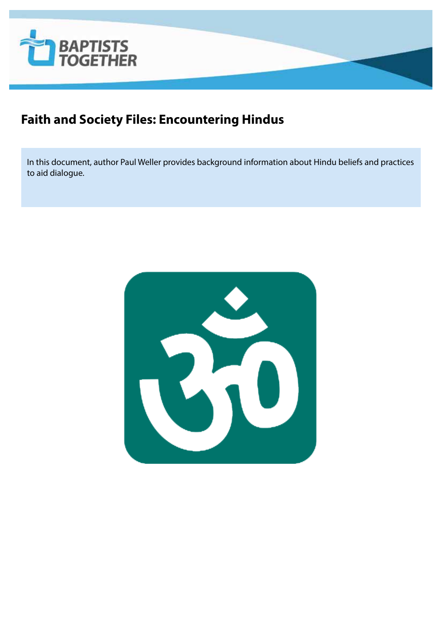

#### **Faith and Society Files: Encountering Hindus**

In this document, author Paul Weller provides background information about Hindu beliefs and practices to aid dialogue.

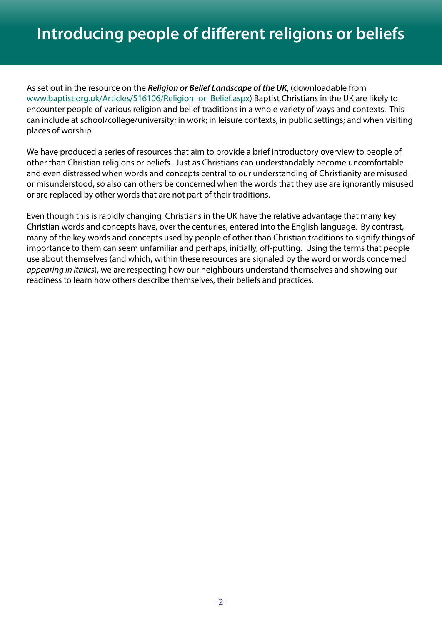As set out in the resource on the *Religion or Belief Landscape of the UK*, (downloadable from [www.baptist.org.uk/Articles/516106/Religion\\_or\\_Belief.aspx](https://www.baptist.org.uk/Articles/516106/Religion_or_Belief.aspx)) Baptist Christians in the UK are likely to encounter people of various religion and belief traditions in a whole variety of ways and contexts. This can include at school/college/university; in work; in leisure contexts, in public settings; and when visiting places of worship.

We have produced a series of resources that aim to provide a brief introductory overview to people of other than Christian religions or beliefs. Just as Christians can understandably become uncomfortable and even distressed when words and concepts central to our understanding of Christianity are misused or misunderstood, so also can others be concerned when the words that they use are ignorantly misused or are replaced by other words that are not part of their traditions.

Even though this is rapidly changing, Christians in the UK have the relative advantage that many key Christian words and concepts have, over the centuries, entered into the English language. By contrast, many of the key words and concepts used by people of other than Christian traditions to signify things of importance to them can seem unfamiliar and perhaps, initially, off-putting. Using the terms that people use about themselves (and which, within these resources are signaled by the word or words concerned *appearing in italics*), we are respecting how our neighbours understand themselves and showing our readiness to learn how others describe themselves, their beliefs and practices.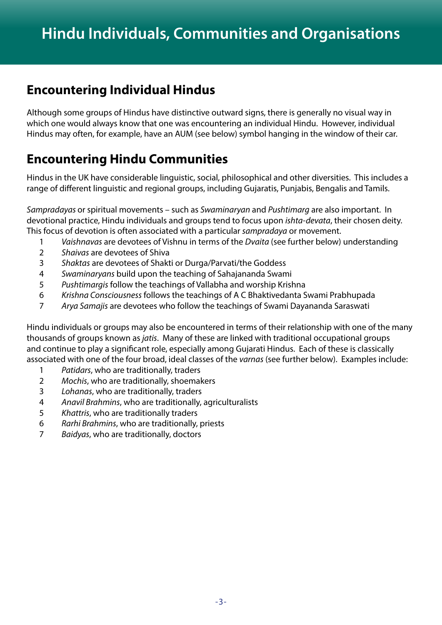## **Encountering Individual Hindus**

Although some groups of Hindus have distinctive outward signs, there is generally no visual way in which one would always know that one was encountering an individual Hindu. However, individual Hindus may often, for example, have an AUM (see below) symbol hanging in the window of their car.

## **Encountering Hindu Communities**

Hindus in the UK have considerable linguistic, social, philosophical and other diversities. This includes a range of different linguistic and regional groups, including Gujaratis, Punjabis, Bengalis and Tamils.

*Sampradayas* or spiritual movements – such as *Swaminaryan* and *Pushtimarg* are also important. In devotional practice, Hindu individuals and groups tend to focus upon *ishta-devata*, their chosen deity. This focus of devotion is often associated with a particular *sampradaya* or movement.

- 1 *Vaishnavas* are devotees of Vishnu in terms of the *Dvaita* (see further below) understanding
- 2 *Shaivas* are devotees of Shiva
- 3 *Shaktas* are devotees of Shakti or Durga/Parvati/the Goddess
- 4 *Swaminaryans* build upon the teaching of Sahajananda Swami
- 5 *Pushtimargis* follow the teachings of Vallabha and worship Krishna
- 6 *Krishna Consciousness* follows the teachings of A C Bhaktivedanta Swami Prabhupada
- 7 *Arya Samajis* are devotees who follow the teachings of Swami Dayananda Saraswati

Hindu individuals or groups may also be encountered in terms of their relationship with one of the many thousands of groups known as *jatis*. Many of these are linked with traditional occupational groups and continue to play a significant role, especially among Gujarati Hindus. Each of these is classically associated with one of the four broad, ideal classes of the *varnas* (see further below). Examples include:

- 1 *Patidars*, who are traditionally, traders
- 2 *Mochis*, who are traditionally, shoemakers
- 3 *Lohanas*, who are traditionally, traders
- 4 *Anavil Brahmins*, who are traditionally, agriculturalists
- 5 *Khattris*, who are traditionally traders
- 6 *Rarhi Brahmins*, who are traditionally, priests
- 7 *Baidyas*, who are traditionally, doctors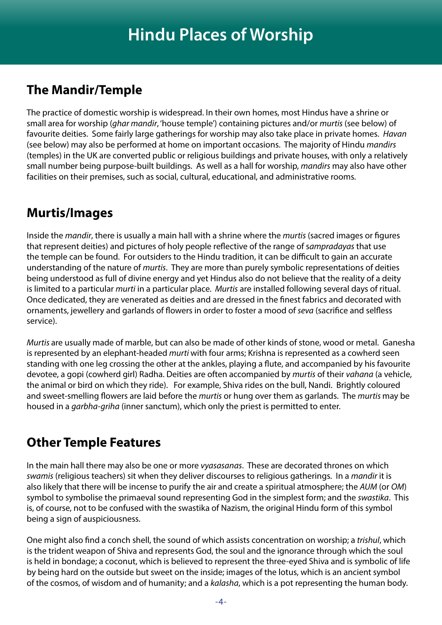# **The Mandir/Temple**

The practice of domestic worship is widespread. In their own homes, most Hindus have a shrine or small area for worship (*ghar mandir*, 'house temple') containing pictures and/or *murtis* (see below) of favourite deities. Some fairly large gatherings for worship may also take place in private homes. *Havan* (see below) may also be performed at home on important occasions. The majority of Hindu *mandirs* (temples) in the UK are converted public or religious buildings and private houses, with only a relatively small number being purpose-built buildings. As well as a hall for worship, *mandirs* may also have other facilities on their premises, such as social, cultural, educational, and administrative rooms.

# **Murtis/Images**

Inside the *mandir*, there is usually a main hall with a shrine where the *murtis* (sacred images or figures that represent deities) and pictures of holy people reflective of the range of s*ampradayas* that use the temple can be found. For outsiders to the Hindu tradition, it can be difficult to gain an accurate understanding of the nature of *murtis*. They are more than purely symbolic representations of deities being understood as full of divine energy and yet Hindus also do not believe that the reality of a deity is limited to a particular *murti* in a particular place. *Murtis* are installed following several days of ritual. Once dedicated, they are venerated as deities and are dressed in the finest fabrics and decorated with ornaments, jewellery and garlands of flowers in order to foster a mood of *seva* (sacrifice and selfless service).

*Murtis* are usually made of marble, but can also be made of other kinds of stone, wood or metal. Ganesha is represented by an elephant-headed *murti* with four arms; Krishna is represented as a cowherd seen standing with one leg crossing the other at the ankles, playing a flute, and accompanied by his favourite devotee, a gopi (cowherd girl) Radha. Deities are often accompanied by *murtis* of their *vahana* (a vehicle, the animal or bird on which they ride). For example, Shiva rides on the bull, Nandi. Brightly coloured and sweet-smelling flowers are laid before the *murtis* or hung over them as garlands. The *murtis* may be housed in a *garbha-griha* (inner sanctum), which only the priest is permitted to enter.

# **Other Temple Features**

In the main hall there may also be one or more *vyasasanas*. These are decorated thrones on which *swamis* (religious teachers) sit when they deliver discourses to religious gatherings. In a *mandir* it is also likely that there will be incense to purify the air and create a spiritual atmosphere; the *AUM* (or *OM*) symbol to symbolise the primaeval sound representing God in the simplest form; and the *swastika*. This is, of course, not to be confused with the swastika of Nazism, the original Hindu form of this symbol being a sign of auspiciousness.

One might also find a conch shell, the sound of which assists concentration on worship; a *trishul*, which is the trident weapon of Shiva and represents God, the soul and the ignorance through which the soul is held in bondage; a coconut, which is believed to represent the three-eyed Shiva and is symbolic of life by being hard on the outside but sweet on the inside; images of the lotus, which is an ancient symbol of the cosmos, of wisdom and of humanity; and a *kalasha*, which is a pot representing the human body.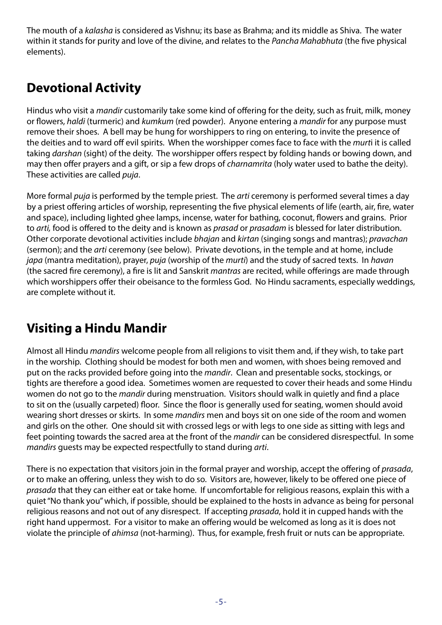The mouth of a *kalasha* is considered as Vishnu; its base as Brahma; and its middle as Shiva. The water within it stands for purity and love of the divine, and relates to the *Pancha Mahabhuta* (the five physical elements).

# **Devotional Activity**

Hindus who visit a *mandir* customarily take some kind of offering for the deity, such as fruit, milk, money or flowers, *haldi* (turmeric) and *kumkum* (red powder). Anyone entering a *mandir* for any purpose must remove their shoes. A bell may be hung for worshippers to ring on entering, to invite the presence of the deities and to ward off evil spirits. When the worshipper comes face to face with the *murt*i it is called taking *darshan* (sight) of the deity. The worshipper offers respect by folding hands or bowing down, and may then offer prayers and a gift, or sip a few drops of *charnamrita* (holy water used to bathe the deity). These activities are called *puja*.

More formal *puja* is performed by the temple priest. The *arti* ceremony is performed several times a day by a priest offering articles of worship, representing the five physical elements of life (earth, air, fire, water and space), including lighted ghee lamps, incense, water for bathing, coconut, flowers and grains. Prior to *arti,* food is offered to the deity and is known as *prasad* or *prasadam* is blessed for later distribution. Other corporate devotional activities include *bhajan* and *kirtan* (singing songs and mantras); *pravachan* (sermon); and the *arti* ceremony (see below). Private devotions, in the temple and at home, include *japa* (mantra meditation), prayer, *puja* (worship of the *murti*) and the study of sacred texts. In *havan*  (the sacred fire ceremony), a fire is lit and Sanskrit *mantras* are recited, while offerings are made through which worshippers offer their obeisance to the formless God. No Hindu sacraments, especially weddings, are complete without it.

## **Visiting a Hindu Mandir**

Almost all Hindu *mandirs* welcome people from all religions to visit them and, if they wish, to take part in the worship. Clothing should be modest for both men and women, with shoes being removed and put on the racks provided before going into the *mandir*. Clean and presentable socks, stockings, or tights are therefore a good idea. Sometimes women are requested to cover their heads and some Hindu women do not go to the *mandir* during menstruation. Visitors should walk in quietly and find a place to sit on the (usually carpeted) floor. Since the floor is generally used for seating, women should avoid wearing short dresses or skirts. In some *mandirs* men and boys sit on one side of the room and women and girls on the other. One should sit with crossed legs or with legs to one side as sitting with legs and feet pointing towards the sacred area at the front of the *mandir* can be considered disrespectful. In some *mandirs* guests may be expected respectfully to stand during *arti*.

There is no expectation that visitors join in the formal prayer and worship, accept the offering of *prasada*, or to make an offering, unless they wish to do so. Visitors are, however, likely to be offered one piece of *prasada* that they can either eat or take home. If uncomfortable for religious reasons, explain this with a quiet "No thank you" which, if possible, should be explained to the hosts in advance as being for personal religious reasons and not out of any disrespect. If accepting *prasada*, hold it in cupped hands with the right hand uppermost. For a visitor to make an offering would be welcomed as long as it is does not violate the principle of *ahimsa* (not-harming). Thus, for example, fresh fruit or nuts can be appropriate.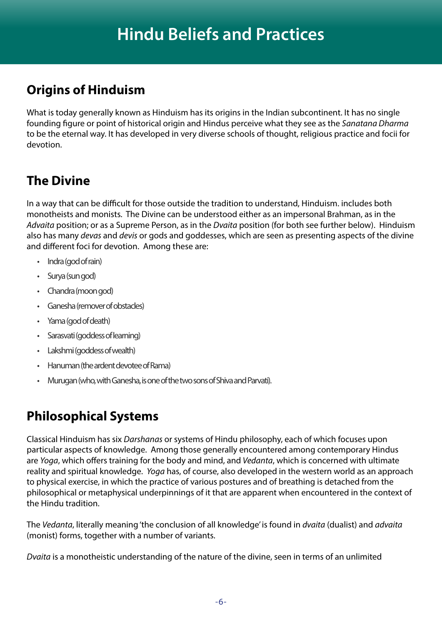# **Origins of Hinduism**

What is today generally known as Hinduism has its origins in the Indian subcontinent. It has no single founding figure or point of historical origin and Hindus perceive what they see as the *Sanatana Dharma* to be the eternal way. It has developed in very diverse schools of thought, religious practice and focii for devotion.

# **The Divine**

In a way that can be difficult for those outside the tradition to understand, Hinduism. includes both monotheists and monists. The Divine can be understood either as an impersonal Brahman, as in the *Advaita* position; or as a Supreme Person, as in the *Dvaita* position (for both see further below). Hinduism also has many *devas* and *devis* or gods and goddesses, which are seen as presenting aspects of the divine and different foci for devotion. Among these are:

- Indra (god of rain)
- Surya (sun god)
- Chandra (moon god)
- Ganesha (remover of obstacles)
- Yama (god of death)
- Sarasvati (goddess of learning)
- Lakshmi (goddess of wealth)
- Hanuman (the ardent devotee of Rama)
- Murugan (who, with Ganesha, is one of the two sons of Shiva and Parvati).

# **Philosophical Systems**

Classical Hinduism has six *Darshanas* or systems of Hindu philosophy, each of which focuses upon particular aspects of knowledge. Among those generally encountered among contemporary Hindus are *Yoga*, which offers training for the body and mind, and *Vedanta*, which is concerned with ultimate reality and spiritual knowledge. *Yoga* has, of course, also developed in the western world as an approach to physical exercise, in which the practice of various postures and of breathing is detached from the philosophical or metaphysical underpinnings of it that are apparent when encountered in the context of the Hindu tradition.

The *Vedanta*, literally meaning 'the conclusion of all knowledge' is found in *dvaita* (dualist) and *advaita* (monist) forms, together with a number of variants.

*Dvaita* is a monotheistic understanding of the nature of the divine, seen in terms of an unlimited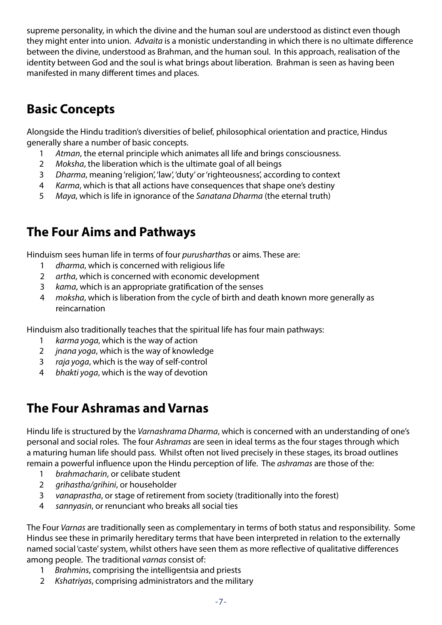supreme personality, in which the divine and the human soul are understood as distinct even though they might enter into union. *Advaita* is a monistic understanding in which there is no ultimate difference between the divine, understood as Brahman, and the human soul. In this approach, realisation of the identity between God and the soul is what brings about liberation. Brahman is seen as having been manifested in many different times and places.

## **Basic Concepts**

Alongside the Hindu tradition's diversities of belief, philosophical orientation and practice, Hindus generally share a number of basic concepts.

- 1 *Atman*, the eternal principle which animates all life and brings consciousness.
- 2 *Moksha*, the liberation which is the ultimate goal of all beings
- 3 *Dharma*, meaning 'religion', 'law', 'duty' or 'righteousness', according to context
- 4 *Karma*, which is that all actions have consequences that shape one's destiny
- 5 *Maya*, which is life in ignorance of the *Sanatana Dharma* (the eternal truth)

### **The Four Aims and Pathways**

Hinduism sees human life in terms of four *purushartha*s or aims. These are:

- 1 *dharma*, which is concerned with religious life
- 2 *artha*, which is concerned with economic development
- 3 *kama*, which is an appropriate gratification of the senses
- 4 *moksha*, which is liberation from the cycle of birth and death known more generally as reincarnation

Hinduism also traditionally teaches that the spiritual life has four main pathways:

- 1 *karma yoga*, which is the way of action
- 2 *jnana yoga*, which is the way of knowledge
- 3 *raja yoga*, which is the way of self-control
- 4 *bhakti yoga*, which is the way of devotion

#### **The Four Ashramas and Varnas**

Hindu life is structured by the *Varnashrama Dharma*, which is concerned with an understanding of one's personal and social roles. The four *Ashramas* are seen in ideal terms as the four stages through which a maturing human life should pass. Whilst often not lived precisely in these stages, its broad outlines remain a powerful influence upon the Hindu perception of life. The *ashramas* are those of the:

- 1 *brahmacharin*, or celibate student
- 2 *grihastha/grihini*, or householder
- 3 *vanaprastha*, or stage of retirement from society (traditionally into the forest)
- 4 *sannyasin*, or renunciant who breaks all social ties

The Four *Varnas* are traditionally seen as complementary in terms of both status and responsibility. Some Hindus see these in primarily hereditary terms that have been interpreted in relation to the externally named social 'caste' system, whilst others have seen them as more reflective of qualitative differences among people. The traditional *varnas* consist of:

- 1 *Brahmins*, comprising the intelligentsia and priests
- 2 *Kshatriyas*, comprising administrators and the military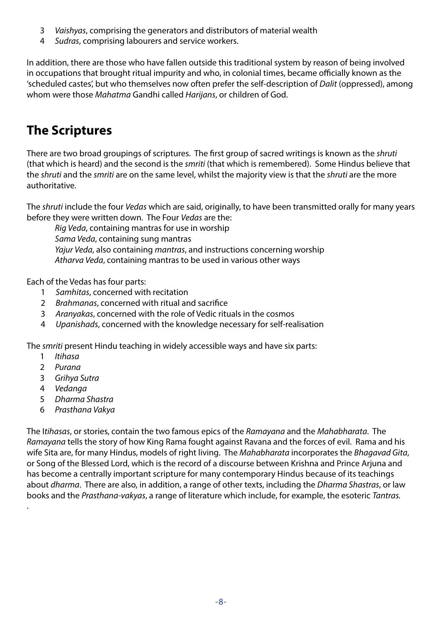- 3 *Vaishyas*, comprising the generators and distributors of material wealth
- 4 *Sudras*, comprising labourers and service workers.

In addition, there are those who have fallen outside this traditional system by reason of being involved in occupations that brought ritual impurity and who, in colonial times, became officially known as the 'scheduled castes', but who themselves now often prefer the self-description of *Dalit* (oppressed), among whom were those *Mahatma* Gandhi called *Harijans*, or children of God.

# **The Scriptures**

There are two broad groupings of scriptures. The first group of sacred writings is known as the *shruti*  (that which is heard) and the second is the *smriti* (that which is remembered). Some Hindus believe that the *shruti* and the *smriti* are on the same level, whilst the majority view is that the *shruti* are the more authoritative.

The *shruti* include the four *Vedas* which are said, originally, to have been transmitted orally for many years before they were written down. The Four *Vedas* are the:

*Rig Veda*, containing mantras for use in worship *Sama Veda*, containing sung mantras *Yajur Veda*, also containing *mantras*, and instructions concerning worship *Atharva Veda*, containing mantras to be used in various other ways

Each of the Vedas has four parts:

- 1 *Samhitas*, concerned with recitation
- 2 *Brahmanas*, concerned with ritual and sacrifice
- 3 *Aranyakas*, concerned with the role of Vedic rituals in the cosmos
- 4 *Upanishads*, concerned with the knowledge necessary for self-realisation

The *smriti* present Hindu teaching in widely accessible ways and have six parts:

- 1 *Itihasa*
- 2 *Purana*

.

- 3 *Grihya Sutra*
- 4 *Vedanga*
- 5 *Dharma Shastra*
- 6 *Prasthana Vakya*

The I*tihasas*, or stories, contain the two famous epics of the *Ramayana* and the *Mahabharata*. The *Ramayana* tells the story of how King Rama fought against Ravana and the forces of evil. Rama and his wife Sita are, for many Hindus, models of right living. The *Mahabharata* incorporates the *Bhagavad Gita*, or Song of the Blessed Lord, which is the record of a discourse between Krishna and Prince Arjuna and has become a centrally important scripture for many contemporary Hindus because of its teachings about *dharma*. There are also, in addition, a range of other texts, including the *Dharma Shastras*, or law books and the *Prasthana-vakyas*, a range of literature which include, for example, the esoteric *Tantras.*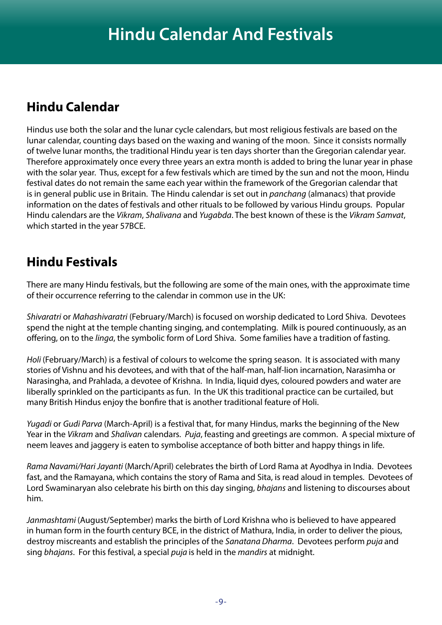## **Hindu Calendar**

Hindus use both the solar and the lunar cycle calendars, but most religious festivals are based on the lunar calendar, counting days based on the waxing and waning of the moon. Since it consists normally of twelve lunar months, the traditional Hindu year is ten days shorter than the Gregorian calendar year. Therefore approximately once every three years an extra month is added to bring the lunar year in phase with the solar year. Thus, except for a few festivals which are timed by the sun and not the moon, Hindu festival dates do not remain the same each year within the framework of the Gregorian calendar that is in general public use in Britain. The Hindu calendar is set out in *panchang* (almanacs) that provide information on the dates of festivals and other rituals to be followed by various Hindu groups. Popular Hindu calendars are the *Vikram*, *Shalivana* and *Yugabda*. The best known of these is the *Vikram Samvat*, which started in the year 57BCE.

## **Hindu Festivals**

There are many Hindu festivals, but the following are some of the main ones, with the approximate time of their occurrence referring to the calendar in common use in the UK:

*Shivaratri* or *Mahashivaratri* (February/March) is focused on worship dedicated to Lord Shiva. Devotees spend the night at the temple chanting singing, and contemplating. Milk is poured continuously, as an offering, on to the *linga*, the symbolic form of Lord Shiva. Some families have a tradition of fasting.

*Holi* (February/March) is a festival of colours to welcome the spring season. It is associated with many stories of Vishnu and his devotees, and with that of the half-man, half-lion incarnation, Narasimha or Narasingha, and Prahlada, a devotee of Krishna. In India, liquid dyes, coloured powders and water are liberally sprinkled on the participants as fun. In the UK this traditional practice can be curtailed, but many British Hindus enjoy the bonfire that is another traditional feature of Holi.

*Yugadi* or *Gudi Parva* (March-April) is a festival that, for many Hindus, marks the beginning of the New Year in the *Vikram* and *Shalivan* calendars. *Puja*, feasting and greetings are common. A special mixture of neem leaves and jaggery is eaten to symbolise acceptance of both bitter and happy things in life.

*Rama Navami/Hari Jayanti* (March/April) celebrates the birth of Lord Rama at Ayodhya in India. Devotees fast, and the Ramayana, which contains the story of Rama and Sita, is read aloud in temples. Devotees of Lord Swaminaryan also celebrate his birth on this day singing, *bhajans* and listening to discourses about him.

*Janmashtami* (August/September) marks the birth of Lord Krishna who is believed to have appeared in human form in the fourth century BCE, in the district of Mathura, India, in order to deliver the pious, destroy miscreants and establish the principles of the *Sanatana Dharma*. Devotees perform *puja* and sing *bhajans*. For this festival, a special *puja* is held in the *mandirs* at midnight.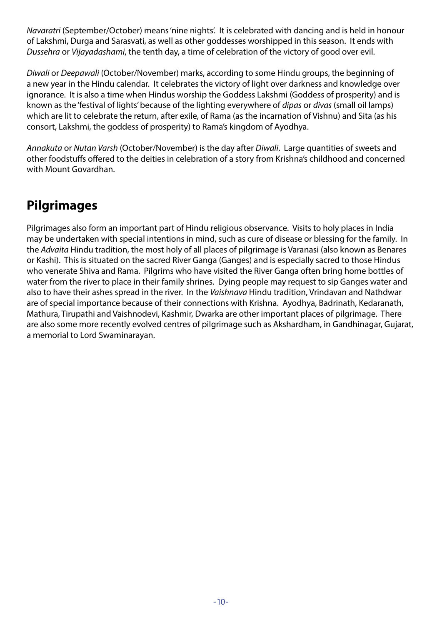*Navaratri* (September/October) means 'nine nights'. It is celebrated with dancing and is held in honour of Lakshmi, Durga and Sarasvati, as well as other goddesses worshipped in this season. It ends with *Dussehra* or *Vijayadashami*, the tenth day, a time of celebration of the victory of good over evil.

*Diwali* or *Deepawali* (October/November) marks, according to some Hindu groups, the beginning of a new year in the Hindu calendar. It celebrates the victory of light over darkness and knowledge over ignorance. It is also a time when Hindus worship the Goddess Lakshmi (Goddess of prosperity) and is known as the 'festival of lights' because of the lighting everywhere of *dipas* or *divas* (small oil lamps) which are lit to celebrate the return, after exile, of Rama (as the incarnation of Vishnu) and Sita (as his consort, Lakshmi, the goddess of prosperity) to Rama's kingdom of Ayodhya.

*Annakuta* or *Nutan Varsh* (October/November) is the day after *Diwali*. Large quantities of sweets and other foodstuffs offered to the deities in celebration of a story from Krishna's childhood and concerned with Mount Govardhan.

# **Pilgrimages**

Pilgrimages also form an important part of Hindu religious observance. Visits to holy places in India may be undertaken with special intentions in mind, such as cure of disease or blessing for the family. In the *Advaita* Hindu tradition, the most holy of all places of pilgrimage is Varanasi (also known as Benares or Kashi). This is situated on the sacred River Ganga (Ganges) and is especially sacred to those Hindus who venerate Shiva and Rama. Pilgrims who have visited the River Ganga often bring home bottles of water from the river to place in their family shrines. Dying people may request to sip Ganges water and also to have their ashes spread in the river. In the *Vaishnava* Hindu tradition, Vrindavan and Nathdwar are of special importance because of their connections with Krishna. Ayodhya, Badrinath, Kedaranath, Mathura, Tirupathi and Vaishnodevi, Kashmir, Dwarka are other important places of pilgrimage. There are also some more recently evolved centres of pilgrimage such as Akshardham, in Gandhinagar, Gujarat, a memorial to Lord Swaminarayan.